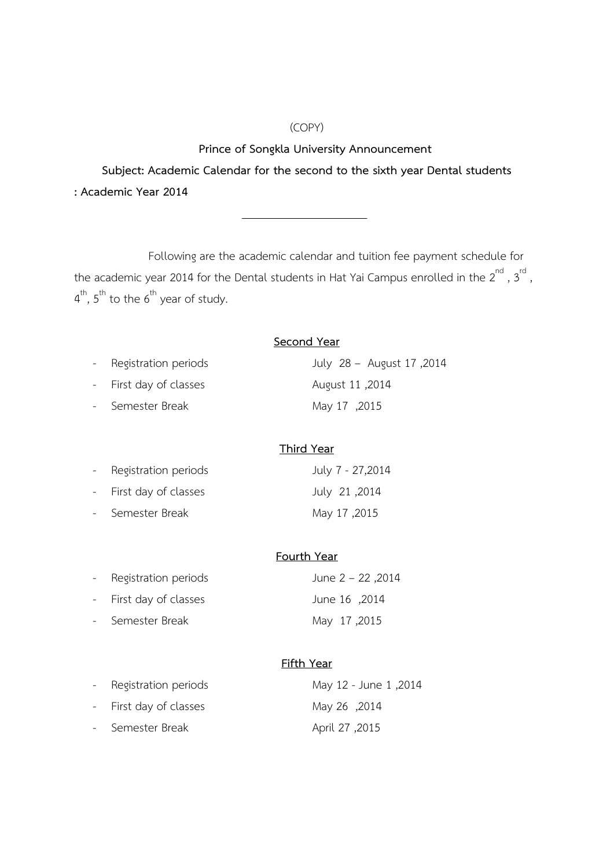## (COPY)

**Prince of Songkla University Announcement**

**Subject: Academic Calendar for the second to the sixth year Dental students : Academic Year 2014** 

Following are the academic calendar and tuition fee payment schedule for the academic year 2014 for the Dental students in Hat Yai Campus enrolled in the  $2^{nd}$  ,  $3^{rd}$  ,  $4^{\text{th}}$ ,  $5^{\text{th}}$  to the  $6^{\text{th}}$  year of study.

| Second Year            |                           |  |
|------------------------|---------------------------|--|
| - Registration periods | 2014, July 28 - August 17 |  |
| - First day of classes | 2014, August 11           |  |
| - Semester Break       | Alay 17, 2015             |  |

## **Third Year**

| - Registration periods | July 7 - 27,2014 |
|------------------------|------------------|
| - First day of classes | 2014, July 21    |
| - Semester Break       | May 17,2015      |

## **Fourth Year**

| - Registration periods | June $2 - 22$ , 2014 |
|------------------------|----------------------|
| - First day of classes | June 16, 2014        |
| - Semester Break       | 2015, May 17         |

## **Fifth Year**

| - Registration periods | May 12 - June 1,2014 |
|------------------------|----------------------|
| - First day of classes | 2014, May 26         |
| - Semester Break       | 2015, April 27       |